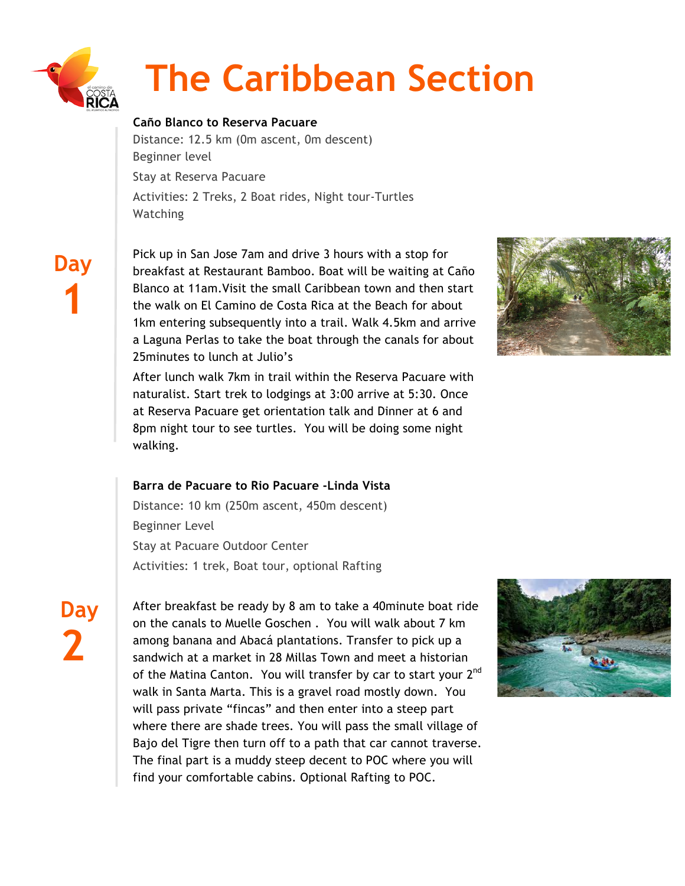

# **The Caribbean Section**

# **Caño Blanco to Reserva Pacuare**

Distance: 12.5 km (0m ascent, 0m descent) Beginner level Stay at Reserva Pacuare Activities: 2 Treks, 2 Boat rides, Night tour-Turtles **Watching** 

 **Day 1**

Pick up in San Jose 7am and drive 3 hours with a stop for breakfast at Restaurant Bamboo. Boat will be waiting at Caño Blanco at 11am.Visit the small Caribbean town and then start the walk on El Camino de Costa Rica at the Beach for about 1km entering subsequently into a trail. Walk 4.5km and arrive a Laguna Perlas to take the boat through the canals for about 25minutes to lunch at Julio's

After lunch walk 7km in trail within the Reserva Pacuare with naturalist. Start trek to lodgings at 3:00 arrive at 5:30. Once at Reserva Pacuare get orientation talk and Dinner at 6 and 8pm night tour to see turtles. You will be doing some night walking.



## **Barra de Pacuare to Rio Pacuare -Linda Vista**

Distance: 10 km (250m ascent, 450m descent) Beginner Level Stay at Pacuare Outdoor Center Activities: 1 trek, Boat tour, optional Rafting

**Day 2**

After breakfast be ready by 8 am to take a 40minute boat ride on the canals to Muelle Goschen . You will walk about 7 km among banana and Abacá plantations. Transfer to pick up a sandwich at a market in 28 Millas Town and meet a historian of the Matina Canton. You will transfer by car to start your 2<sup>nd</sup> walk in Santa Marta. This is a gravel road mostly down. You will pass private "fincas" and then enter into a steep part where there are shade trees. You will pass the small village of Bajo del Tigre then turn off to a path that car cannot traverse. The final part is a muddy steep decent to POC where you will find your comfortable cabins. Optional Rafting to POC.